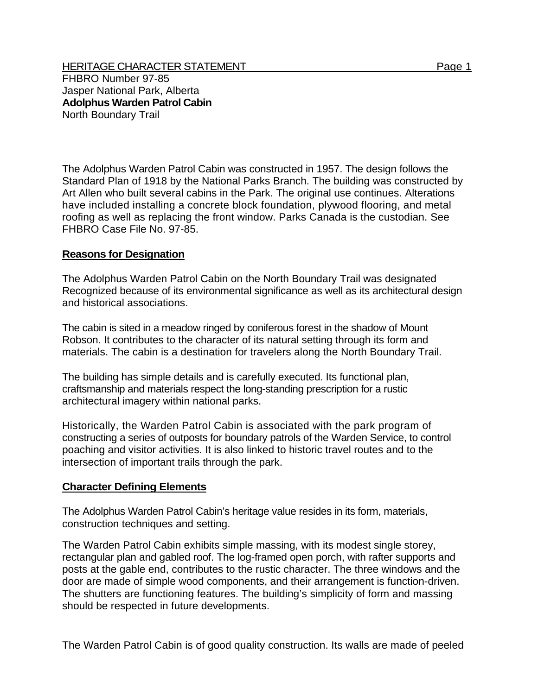HERITAGE CHARACTER STATEMENT THE RESERVE THAN THE Page 1 FHBRO Number 97-85 Jasper National Park, Alberta **Adolphus Warden Patrol Cabin**  North Boundary Trail

The Adolphus Warden Patrol Cabin was constructed in 1957. The design follows the Standard Plan of 1918 by the National Parks Branch. The building was constructed by Art Allen who built several cabins in the Park. The original use continues. Alterations have included installing a concrete block foundation, plywood flooring, and metal roofing as well as replacing the front window. Parks Canada is the custodian. See FHBRO Case File No. 97-85.

## **Reasons for Designation**

The Adolphus Warden Patrol Cabin on the North Boundary Trail was designated Recognized because of its environmental significance as well as its architectural design and historical associations.

The cabin is sited in a meadow ringed by coniferous forest in the shadow of Mount Robson. It contributes to the character of its natural setting through its form and materials. The cabin is a destination for travelers along the North Boundary Trail.

The building has simple details and is carefully executed. Its functional plan, craftsmanship and materials respect the long-standing prescription for a rustic architectural imagery within national parks.

Historically, the Warden Patrol Cabin is associated with the park program of constructing a series of outposts for boundary patrols of the Warden Service, to control poaching and visitor activities. It is also linked to historic travel routes and to the intersection of important trails through the park.

## **Character Defining Elements**

The Adolphus Warden Patrol Cabin's heritage value resides in its form, materials, construction techniques and setting.

The Warden Patrol Cabin exhibits simple massing, with its modest single storey, rectangular plan and gabled roof. The log-framed open porch, with rafter supports and posts at the gable end, contributes to the rustic character. The three windows and the door are made of simple wood components, and their arrangement is function-driven. The shutters are functioning features. The building's simplicity of form and massing should be respected in future developments.